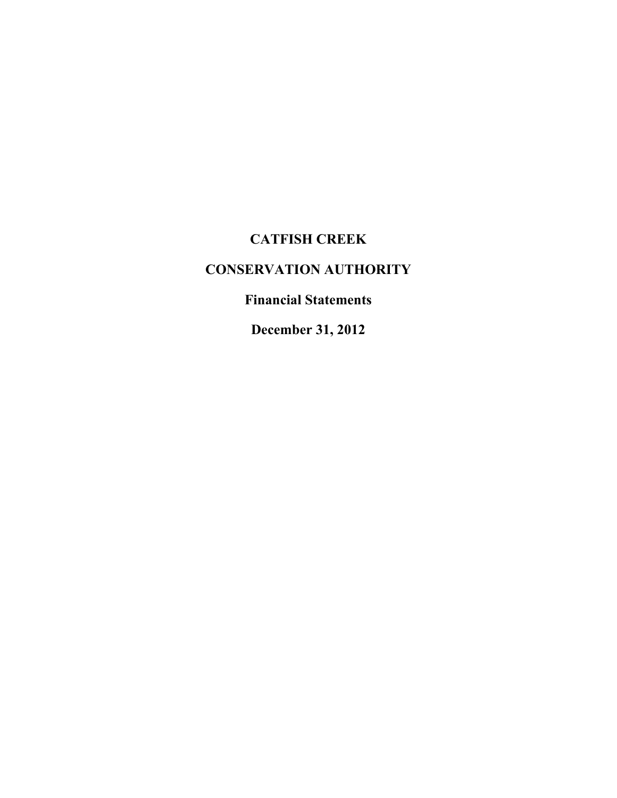# **CATFISH CREEK**

# **CONSERVATION AUTHORITY**

# **Financial Statements**

**December 31, 2012**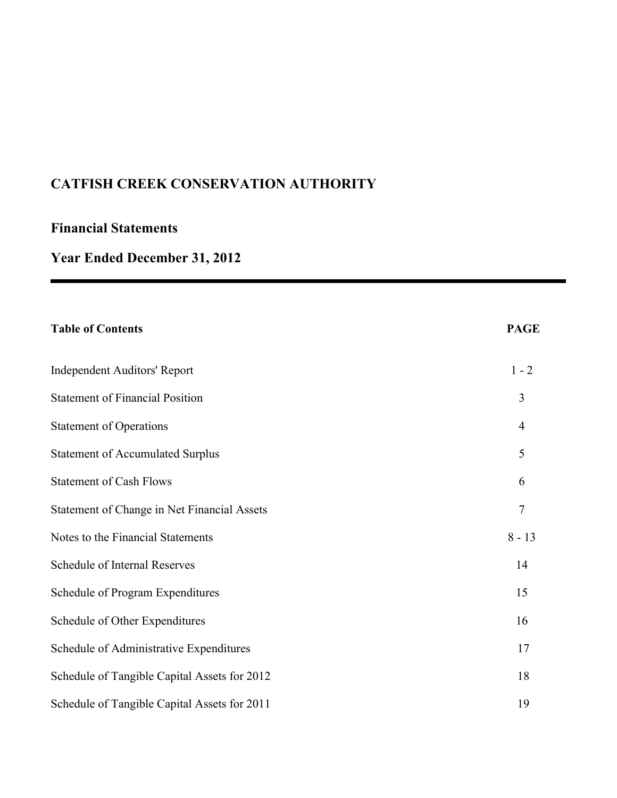# **Financial Statements**

# **Year Ended December 31, 2012**

| <b>Table of Contents</b>                     | <b>PAGE</b>    |
|----------------------------------------------|----------------|
| <b>Independent Auditors' Report</b>          | $1 - 2$        |
| <b>Statement of Financial Position</b>       | 3              |
| <b>Statement of Operations</b>               | $\overline{4}$ |
| <b>Statement of Accumulated Surplus</b>      | 5              |
| <b>Statement of Cash Flows</b>               | 6              |
| Statement of Change in Net Financial Assets  | 7              |
| Notes to the Financial Statements            | $8 - 13$       |
| Schedule of Internal Reserves                | 14             |
| Schedule of Program Expenditures             | 15             |
| Schedule of Other Expenditures               | 16             |
| Schedule of Administrative Expenditures      | 17             |
| Schedule of Tangible Capital Assets for 2012 | 18             |
| Schedule of Tangible Capital Assets for 2011 | 19             |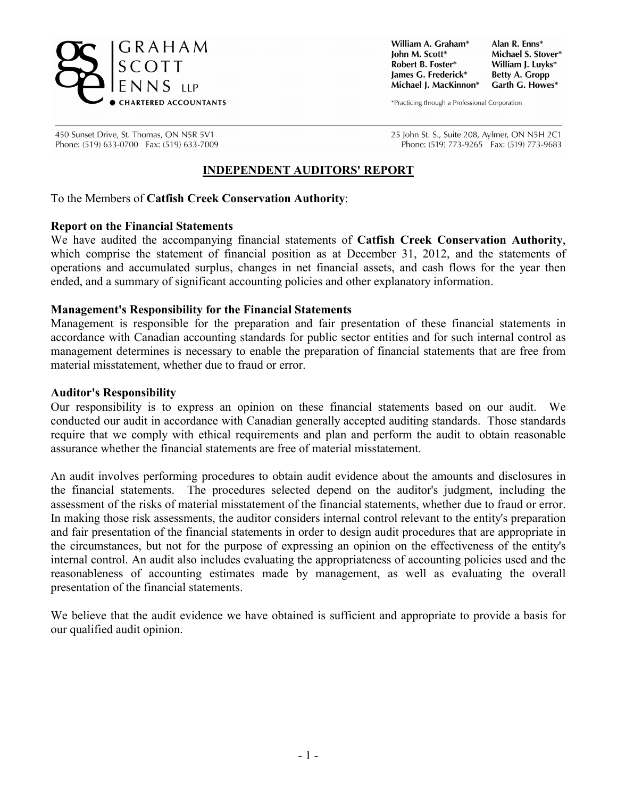

William A. Graham\* Iohn M. Scott\* Robert B. Foster\* lames G. Frederick\* Michael J. MacKinnon\*

Alan R. Enns\* Michael S. Stover\* William J. Luvks\* **Betty A. Gropp** Garth G. Howes\*

\*Practicing through a Professional Corporation

450 Sunset Drive, St. Thomas, ON N5R 5V1 Phone: (519) 633-0700 Fax: (519) 633-7009 25 John St. S., Suite 208, Aylmer, ON N5H 2C1 Phone: (519) 773-9265 Fax: (519) 773-9683

### **INDEPENDENT AUDITORS' REPORT**

To the Members of **Catfish Creek Conservation Authority**:

#### **Report on the Financial Statements**

We have audited the accompanying financial statements of **Catfish Creek Conservation Authority**, which comprise the statement of financial position as at December 31, 2012, and the statements of operations and accumulated surplus, changes in net financial assets, and cash flows for the year then ended, and a summary of significant accounting policies and other explanatory information.

#### **Management's Responsibility for the Financial Statements**

Management is responsible for the preparation and fair presentation of these financial statements in accordance with Canadian accounting standards for public sector entities and for such internal control as management determines is necessary to enable the preparation of financial statements that are free from material misstatement, whether due to fraud or error.

#### **Auditor's Responsibility**

Our responsibility is to express an opinion on these financial statements based on our audit. We conducted our audit in accordance with Canadian generally accepted auditing standards. Those standards require that we comply with ethical requirements and plan and perform the audit to obtain reasonable assurance whether the financial statements are free of material misstatement.

An audit involves performing procedures to obtain audit evidence about the amounts and disclosures in the financial statements. The procedures selected depend on the auditor's judgment, including the assessment of the risks of material misstatement of the financial statements, whether due to fraud or error. In making those risk assessments, the auditor considers internal control relevant to the entity's preparation and fair presentation of the financial statements in order to design audit procedures that are appropriate in the circumstances, but not for the purpose of expressing an opinion on the effectiveness of the entity's internal control. An audit also includes evaluating the appropriateness of accounting policies used and the reasonableness of accounting estimates made by management, as well as evaluating the overall presentation of the financial statements.

We believe that the audit evidence we have obtained is sufficient and appropriate to provide a basis for our qualified audit opinion.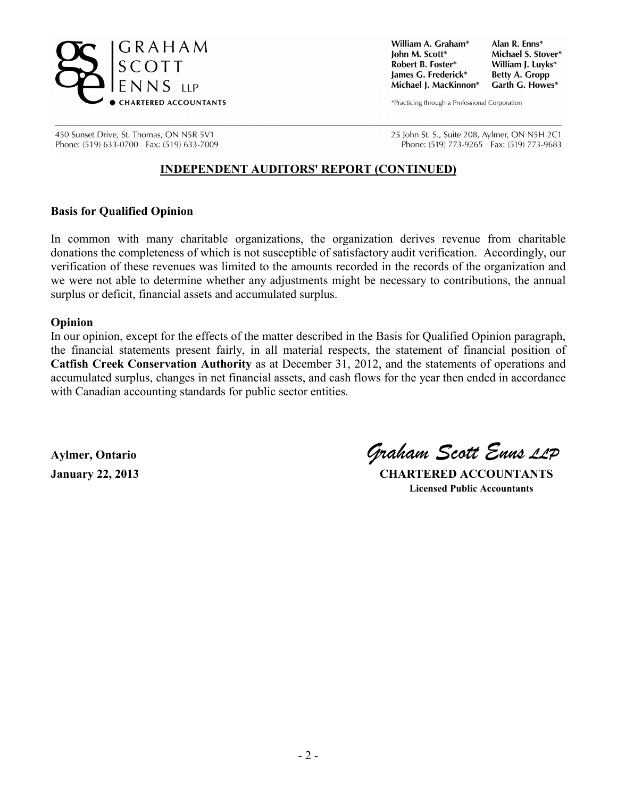

William A. Graham\* Iohn M. Scott\* Robert B. Foster\* James G. Frederick\* Michael J. MacKinnon\*

Alan R. Enns\* Michael S. Stover\* William J. Luvks\* **Betty A. Gropp** Garth G. Howes\*

\*Practicing through a Professional Corporation

450 Sunset Drive, St. Thomas, ON N5R 5V1 Phone: (519) 633-0700 Fax: (519) 633-7009 25 John St. S., Suite 208, Aylmer, ON N5H 2C1 Phone: (519) 773-9265 Fax: (519) 773-9683

### **INDEPENDENT AUDITORS' REPORT (CONTINUED)**

### **Basis for Qualified Opinion**

In common with many charitable organizations, the organization derives revenue from charitable donations the completeness of which is not susceptible of satisfactory audit verification. Accordingly, our verification of these revenues was limited to the amounts recorded in the records of the organization and we were not able to determine whether any adjustments might be necessary to contributions, the annual surplus or deficit, financial assets and accumulated surplus.

#### **Opinion**

In our opinion, except for the effects of the matter described in the Basis for Qualified Opinion paragraph, the financial statements present fairly, in all material respects, the statement of financial position of **Catfish Creek Conservation Authority** as at December 31, 2012, and the statements of operations and accumulated surplus, changes in net financial assets, and cash flows for the year then ended in accordance with Canadian accounting standards for public sector entities.

**Aylmer, Ontario** *Graham Scott Enns LLP*

**January 22, 2013 CHARTERED ACCOUNTANTS Licensed Public Accountants**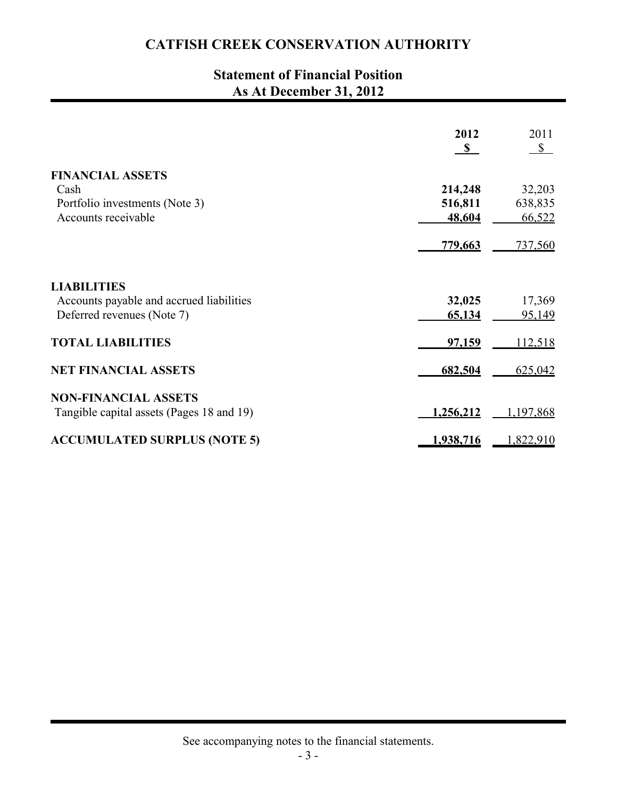# **Statement of Financial Position As At December 31, 2012**

|                                           | 2012<br>$\mathbf{s}$ | 2011<br>$\mathbb{S}$ |
|-------------------------------------------|----------------------|----------------------|
| <b>FINANCIAL ASSETS</b>                   |                      |                      |
| Cash                                      | 214,248              | 32,203               |
| Portfolio investments (Note 3)            | 516,811              | 638,835              |
| Accounts receivable                       | 48,604               | 66,522               |
|                                           | 779,663              | <u>737,560</u>       |
| <b>LIABILITIES</b>                        |                      |                      |
| Accounts payable and accrued liabilities  | 32,025               | 17,369               |
| Deferred revenues (Note 7)                | 65,134               | 95,149               |
| <b>TOTAL LIABILITIES</b>                  | 97,159               | 112,518              |
| <b>NET FINANCIAL ASSETS</b>               | 682,504              | 625,042              |
| <b>NON-FINANCIAL ASSETS</b>               |                      |                      |
| Tangible capital assets (Pages 18 and 19) | <u>1,256,212</u>     | 1,197,868            |
| <b>ACCUMULATED SURPLUS (NOTE 5)</b>       | 1,938,716            | 1,822,910            |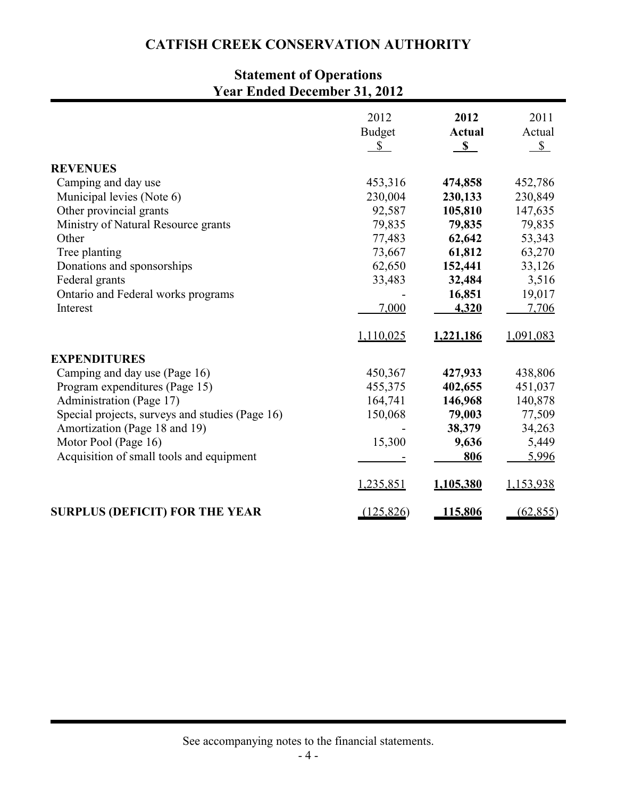# **Statement of Operations Year Ended December 31, 2012**

|                                                 | 2012<br><b>Budget</b> | 2012<br><b>Actual</b> | 2011<br>Actual |
|-------------------------------------------------|-----------------------|-----------------------|----------------|
|                                                 | $\mathbb{S}$          | $\mathbf{s}$          | $S_{-}$        |
| <b>REVENUES</b>                                 |                       |                       |                |
| Camping and day use                             | 453,316               | 474,858               | 452,786        |
| Municipal levies (Note 6)                       | 230,004               | 230,133               | 230,849        |
| Other provincial grants                         | 92,587                | 105,810               | 147,635        |
| Ministry of Natural Resource grants             | 79,835                | 79,835                | 79,835         |
| Other                                           | 77,483                | 62,642                | 53,343         |
| Tree planting                                   | 73,667                | 61,812                | 63,270         |
| Donations and sponsorships                      | 62,650                | 152,441               | 33,126         |
| Federal grants                                  | 33,483                | 32,484                | 3,516          |
| Ontario and Federal works programs              |                       | 16,851                | 19,017         |
| Interest                                        | 7,000                 | 4,320                 | 7,706          |
|                                                 | 1,110,025             | 1,221,186             | 1,091,083      |
| <b>EXPENDITURES</b>                             |                       |                       |                |
| Camping and day use (Page 16)                   | 450,367               | 427,933               | 438,806        |
| Program expenditures (Page 15)                  | 455,375               | 402,655               | 451,037        |
| Administration (Page 17)                        | 164,741               | 146,968               | 140,878        |
| Special projects, surveys and studies (Page 16) | 150,068               | 79,003                | 77,509         |
| Amortization (Page 18 and 19)                   |                       | 38,379                | 34,263         |
| Motor Pool (Page 16)                            | 15,300                | 9,636                 | 5,449          |
| Acquisition of small tools and equipment        |                       | 806                   | 5,996          |
|                                                 | 1,235,851             | 1,105,380             | 1,153,938      |
| <b>SURPLUS (DEFICIT) FOR THE YEAR</b>           | (125, 826)            | 115,806               | (62, 855)      |

See accompanying notes to the financial statements.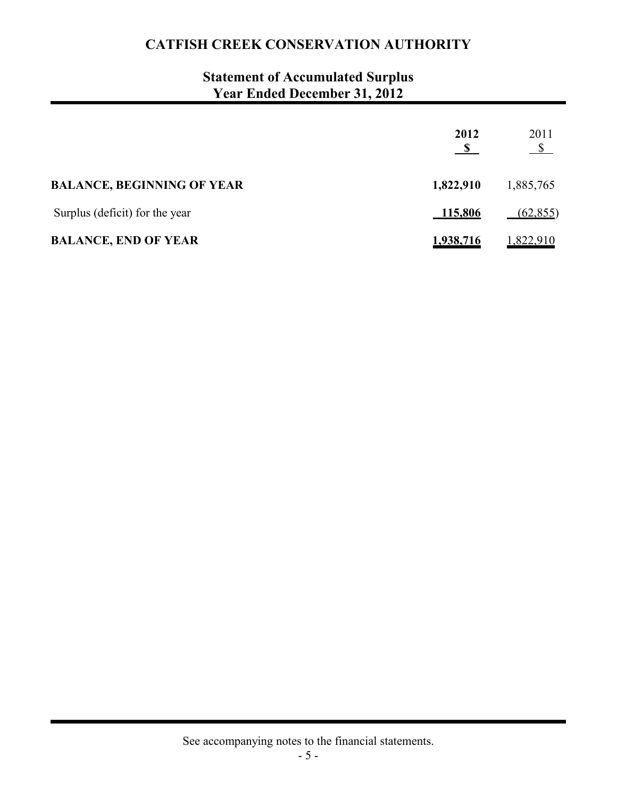# **Statement of Accumulated Surplus Year Ended December 31, 2012**

|                                   | 2012           | 2011<br>$\mathbb{S}$ |
|-----------------------------------|----------------|----------------------|
| <b>BALANCE, BEGINNING OF YEAR</b> | 1,822,910      | 1,885,765            |
| Surplus (deficit) for the year    | <u>115,806</u> | (62, 855)            |
| <b>BALANCE, END OF YEAR</b>       | 1,938,716      | 1,822,910            |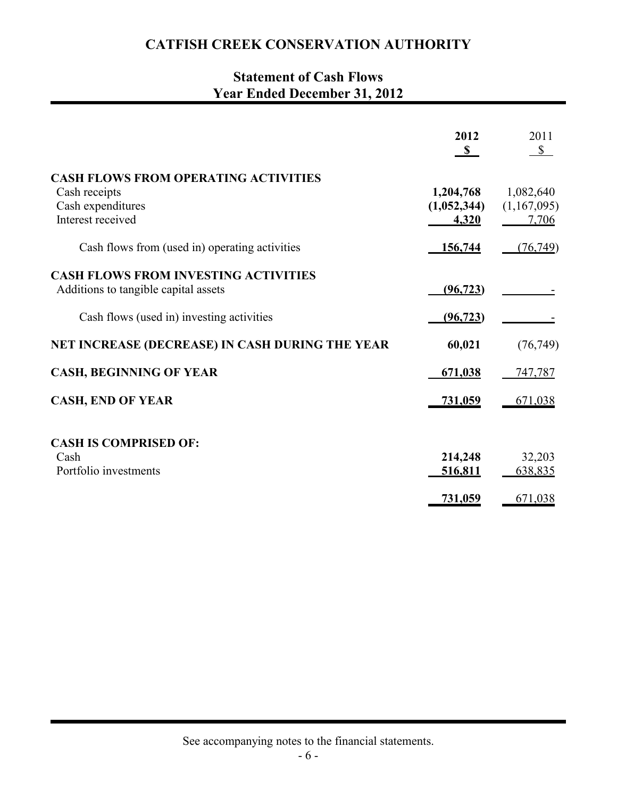## **Statement of Cash Flows Year Ended December 31, 2012**

|                                                                                                        | 2012<br>$\mathbf{s}$              | 2011<br>$\mathbb{S}$              |
|--------------------------------------------------------------------------------------------------------|-----------------------------------|-----------------------------------|
| <b>CASH FLOWS FROM OPERATING ACTIVITIES</b><br>Cash receipts<br>Cash expenditures<br>Interest received | 1,204,768<br>(1,052,344)<br>4,320 | 1,082,640<br>(1,167,095)<br>7,706 |
| Cash flows from (used in) operating activities                                                         | 156,744                           | (76, 749)                         |
| <b>CASH FLOWS FROM INVESTING ACTIVITIES</b><br>Additions to tangible capital assets                    | (96, 723)                         |                                   |
| Cash flows (used in) investing activities                                                              | (96, 723)                         |                                   |
| NET INCREASE (DECREASE) IN CASH DURING THE YEAR                                                        | 60,021                            | (76, 749)                         |
| <b>CASH, BEGINNING OF YEAR</b>                                                                         | 671,038                           | 747,787                           |
| <b>CASH, END OF YEAR</b>                                                                               | 731,059                           | 671,038                           |
| <b>CASH IS COMPRISED OF:</b><br>Cash<br>Portfolio investments                                          | 214,248                           | 32,203                            |
|                                                                                                        | 516,811<br>731,059                | 638,835<br>671,038                |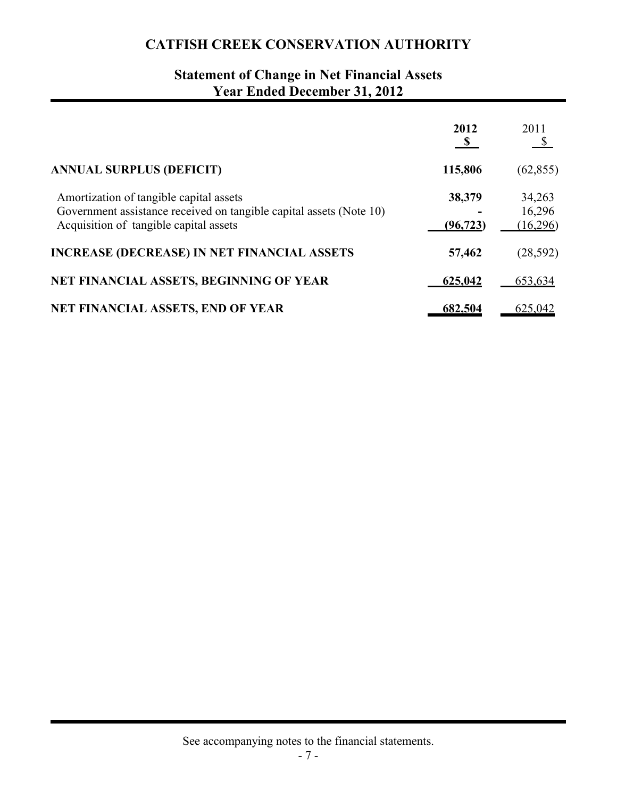# **Statement of Change in Net Financial Assets Year Ended December 31, 2012**

|                                                                                                                                                          | 2012<br>$\mathbf{s}$ | 2011<br>- S                  |
|----------------------------------------------------------------------------------------------------------------------------------------------------------|----------------------|------------------------------|
| <b>ANNUAL SURPLUS (DEFICIT)</b>                                                                                                                          | 115,806              | (62, 855)                    |
| Amortization of tangible capital assets<br>Government assistance received on tangible capital assets (Note 10)<br>Acquisition of tangible capital assets | 38,379<br>(96, 723)  | 34,263<br>16,296<br>(16,296) |
| <b>INCREASE (DECREASE) IN NET FINANCIAL ASSETS</b>                                                                                                       | 57,462               | (28, 592)                    |
| NET FINANCIAL ASSETS, BEGINNING OF YEAR                                                                                                                  | 625,042              | 653,634                      |
| <b>NET FINANCIAL ASSETS, END OF YEAR</b>                                                                                                                 | 682,504              | 625,042                      |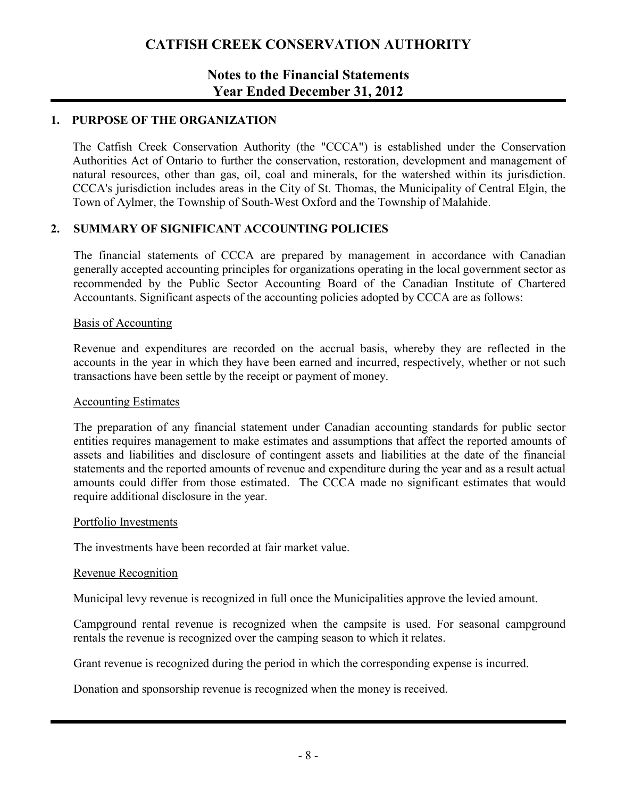### **Notes to the Financial Statements Year Ended December 31, 2012**

### **1. PURPOSE OF THE ORGANIZATION**

The Catfish Creek Conservation Authority (the "CCCA") is established under the Conservation Authorities Act of Ontario to further the conservation, restoration, development and management of natural resources, other than gas, oil, coal and minerals, for the watershed within its jurisdiction. CCCA's jurisdiction includes areas in the City of St. Thomas, the Municipality of Central Elgin, the Town of Aylmer, the Township of South-West Oxford and the Township of Malahide.

### **2. SUMMARY OF SIGNIFICANT ACCOUNTING POLICIES**

The financial statements of CCCA are prepared by management in accordance with Canadian generally accepted accounting principles for organizations operating in the local government sector as recommended by the Public Sector Accounting Board of the Canadian Institute of Chartered Accountants. Significant aspects of the accounting policies adopted by CCCA are as follows:

#### Basis of Accounting

Revenue and expenditures are recorded on the accrual basis, whereby they are reflected in the accounts in the year in which they have been earned and incurred, respectively, whether or not such transactions have been settle by the receipt or payment of money.

#### Accounting Estimates

The preparation of any financial statement under Canadian accounting standards for public sector entities requires management to make estimates and assumptions that affect the reported amounts of assets and liabilities and disclosure of contingent assets and liabilities at the date of the financial statements and the reported amounts of revenue and expenditure during the year and as a result actual amounts could differ from those estimated. The CCCA made no significant estimates that would require additional disclosure in the year.

#### Portfolio Investments

The investments have been recorded at fair market value.

#### Revenue Recognition

Municipal levy revenue is recognized in full once the Municipalities approve the levied amount.

Campground rental revenue is recognized when the campsite is used. For seasonal campground rentals the revenue is recognized over the camping season to which it relates.

Grant revenue is recognized during the period in which the corresponding expense is incurred.

Donation and sponsorship revenue is recognized when the money is received.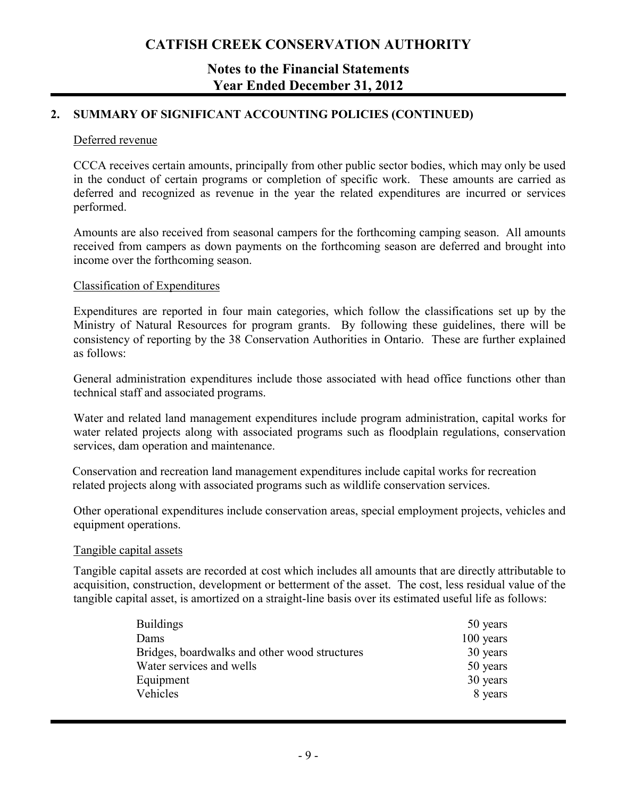### **Notes to the Financial Statements Year Ended December 31, 2012**

### **2. SUMMARY OF SIGNIFICANT ACCOUNTING POLICIES (CONTINUED)**

#### Deferred revenue

CCCA receives certain amounts, principally from other public sector bodies, which may only be used in the conduct of certain programs or completion of specific work. These amounts are carried as deferred and recognized as revenue in the year the related expenditures are incurred or services performed.

Amounts are also received from seasonal campers for the forthcoming camping season. All amounts received from campers as down payments on the forthcoming season are deferred and brought into income over the forthcoming season.

#### Classification of Expenditures

Expenditures are reported in four main categories, which follow the classifications set up by the Ministry of Natural Resources for program grants. By following these guidelines, there will be consistency of reporting by the 38 Conservation Authorities in Ontario. These are further explained as follows:

General administration expenditures include those associated with head office functions other than technical staff and associated programs.

Water and related land management expenditures include program administration, capital works for water related projects along with associated programs such as floodplain regulations, conservation services, dam operation and maintenance.

Conservation and recreation land management expenditures include capital works for recreation related projects along with associated programs such as wildlife conservation services.

Other operational expenditures include conservation areas, special employment projects, vehicles and equipment operations.

#### Tangible capital assets

Tangible capital assets are recorded at cost which includes all amounts that are directly attributable to acquisition, construction, development or betterment of the asset. The cost, less residual value of the tangible capital asset, is amortized on a straight-line basis over its estimated useful life as follows:

| <b>Buildings</b>                              | 50 years  |
|-----------------------------------------------|-----------|
| Dams                                          | 100 years |
| Bridges, boardwalks and other wood structures | 30 years  |
| Water services and wells                      | 50 years  |
| Equipment                                     | 30 years  |
| Vehicles                                      | 8 years   |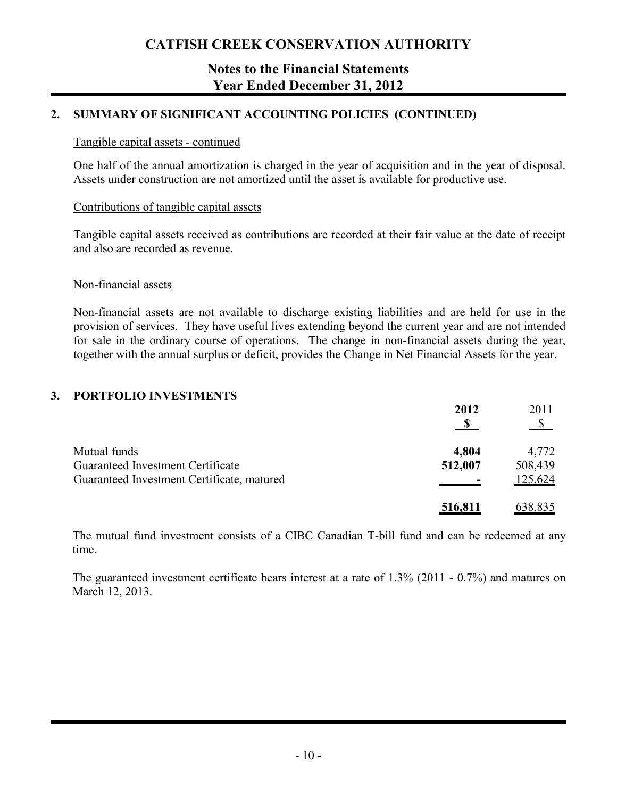### **Notes to the Financial Statements Year Ended December 31, 2012**

### **2. SUMMARY OF SIGNIFICANT ACCOUNTING POLICIES (CONTINUED)**

### Tangible capital assets - continued

One half of the annual amortization is charged in the year of acquisition and in the year of disposal. Assets under construction are not amortized until the asset is available for productive use.

### Contributions of tangible capital assets

Tangible capital assets received as contributions are recorded at their fair value at the date of receipt and also are recorded as revenue.

### Non-financial assets

Non-financial assets are not available to discharge existing liabilities and are held for use in the provision of services. They have useful lives extending beyond the current year and are not intended for sale in the ordinary course of operations. The change in non-financial assets during the year, together with the annual surplus or deficit, provides the Change in Net Financial Assets for the year.

### **3. PORTFOLIO INVESTMENTS**

|                                            | 2012<br>- \$ | 2011<br>-S |
|--------------------------------------------|--------------|------------|
| Mutual funds                               | 4,804        | 4,772      |
| Guaranteed Investment Certificate          | 512,007      | 508,439    |
| Guaranteed Investment Certificate, matured |              | 125,624    |
|                                            | 516,811      | 638,835    |

The mutual fund investment consists of a CIBC Canadian T-bill fund and can be redeemed at any time.

The guaranteed investment certificate bears interest at a rate of 1.3% (2011 - 0.7%) and matures on March 12, 2013.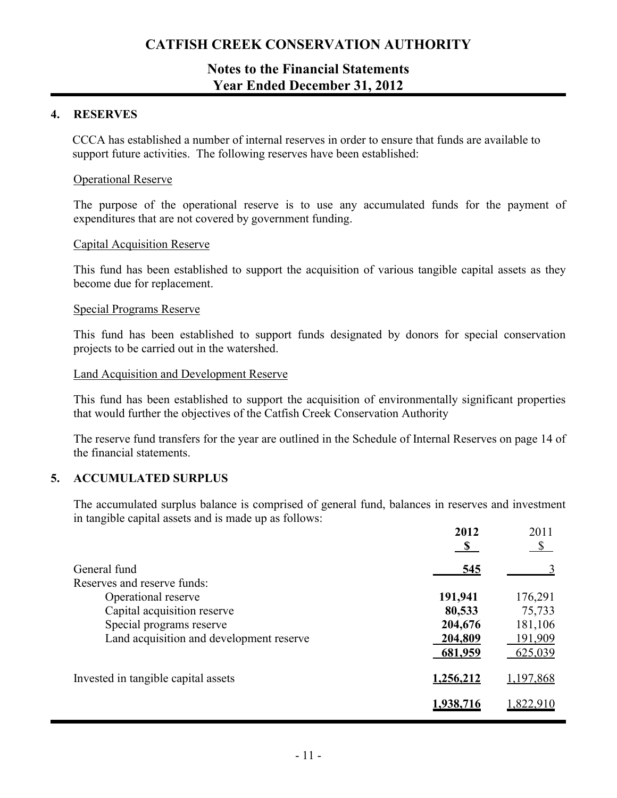### **Notes to the Financial Statements Year Ended December 31, 2012**

### **4. RESERVES**

CCCA has established a number of internal reserves in order to ensure that funds are available to support future activities. The following reserves have been established:

#### Operational Reserve

The purpose of the operational reserve is to use any accumulated funds for the payment of expenditures that are not covered by government funding.

#### Capital Acquisition Reserve

This fund has been established to support the acquisition of various tangible capital assets as they become due for replacement.

#### Special Programs Reserve

This fund has been established to support funds designated by donors for special conservation projects to be carried out in the watershed.

#### Land Acquisition and Development Reserve

This fund has been established to support the acquisition of environmentally significant properties that would further the objectives of the Catfish Creek Conservation Authority

The reserve fund transfers for the year are outlined in the Schedule of Internal Reserves on page 14 of the financial statements.

#### **5. ACCUMULATED SURPLUS**

The accumulated surplus balance is comprised of general fund, balances in reserves and investment in tangible capital assets and is made up as follows:

|                                          | 2012<br>$\mathbf{s}$ | 2011<br>\$      |
|------------------------------------------|----------------------|-----------------|
| General fund                             | 545                  |                 |
| Reserves and reserve funds:              |                      |                 |
| Operational reserve                      | 191,941              | 176,291         |
| Capital acquisition reserve              | 80,533               | 75,733          |
| Special programs reserve                 | 204,676              | 181,106         |
| Land acquisition and development reserve | 204,809              | <u> 191,909</u> |
|                                          | 681,959              | 625,039         |
| Invested in tangible capital assets      | 1,256,212            | 1,197,868       |
|                                          | 1,938,716            | 1,822,910       |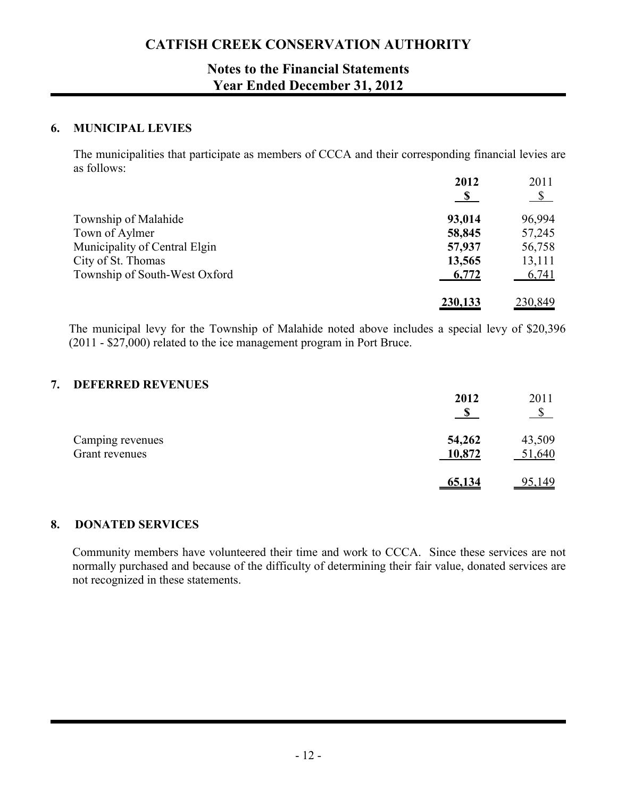## **Notes to the Financial Statements Year Ended December 31, 2012**

### **6. MUNICIPAL LEVIES**

The municipalities that participate as members of CCCA and their corresponding financial levies are as follows:

|                               | 2012       | 2011         |
|-------------------------------|------------|--------------|
|                               | $\sqrt{S}$ | $\mathbb{S}$ |
| Township of Malahide          | 93,014     | 96,994       |
| Town of Aylmer                | 58,845     | 57,245       |
| Municipality of Central Elgin | 57,937     | 56,758       |
| City of St. Thomas            | 13,565     | 13,111       |
| Township of South-West Oxford | 6,772      | 6,741        |
|                               | 230,133    | 230,849      |

The municipal levy for the Township of Malahide noted above includes a special levy of \$20,396 (2011 - \$27,000) related to the ice management program in Port Bruce.

### **7. DEFERRED REVENUES**

|                                    | 2012             | 2011             |
|------------------------------------|------------------|------------------|
| Camping revenues<br>Grant revenues | 54,262<br>10,872 | 43,509<br>51,640 |
|                                    | <u>65,134</u>    | <u>95,149</u>    |

### **8. DONATED SERVICES**

Community members have volunteered their time and work to CCCA. Since these services are not normally purchased and because of the difficulty of determining their fair value, donated services are not recognized in these statements.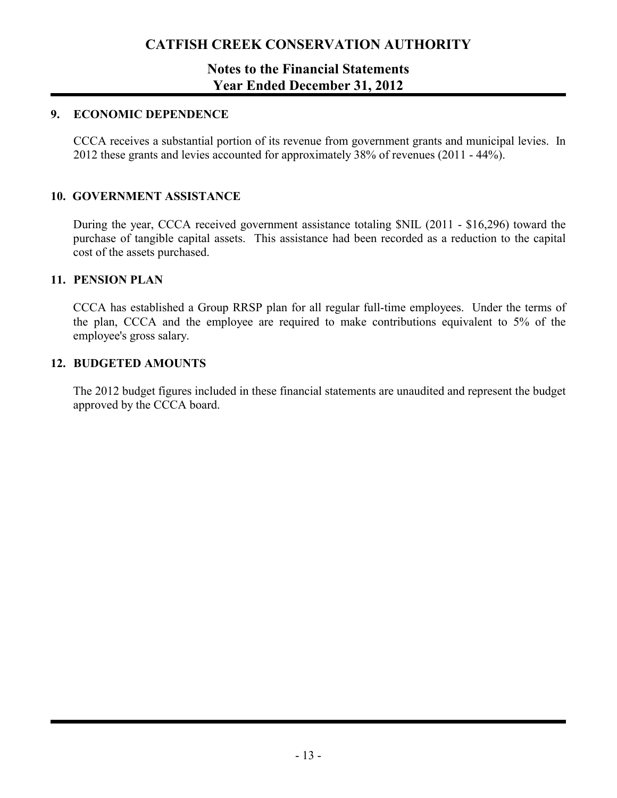### **Notes to the Financial Statements Year Ended December 31, 2012**

### **9. ECONOMIC DEPENDENCE**

CCCA receives a substantial portion of its revenue from government grants and municipal levies. In 2012 these grants and levies accounted for approximately 38% of revenues (2011 - 44%).

### **10. GOVERNMENT ASSISTANCE**

During the year, CCCA received government assistance totaling \$NIL (2011 - \$16,296) toward the purchase of tangible capital assets. This assistance had been recorded as a reduction to the capital cost of the assets purchased.

### **11. PENSION PLAN**

CCCA has established a Group RRSP plan for all regular full-time employees. Under the terms of the plan, CCCA and the employee are required to make contributions equivalent to 5% of the employee's gross salary.

### **12. BUDGETED AMOUNTS**

The 2012 budget figures included in these financial statements are unaudited and represent the budget approved by the CCCA board.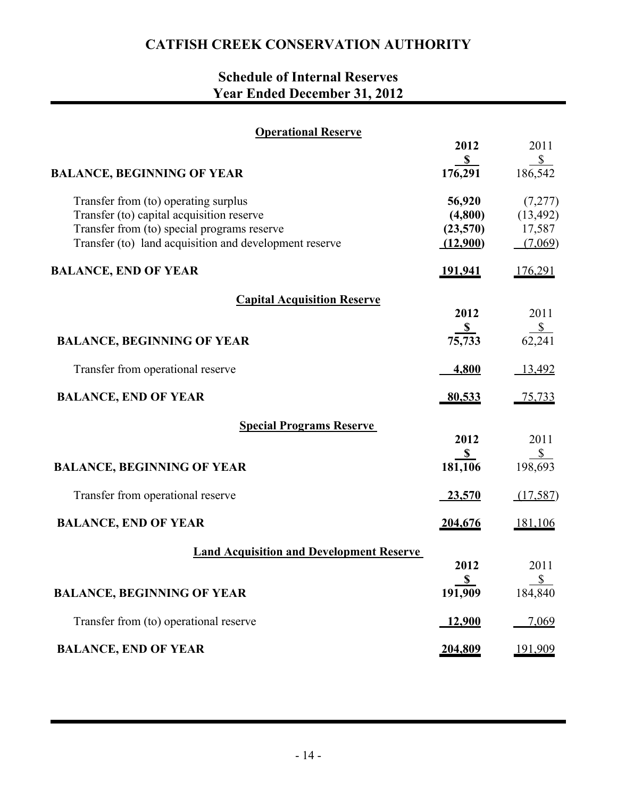# **Schedule of Internal Reserves Year Ended December 31, 2012**

| <b>Operational Reserve</b>                                                        |                        |                      |
|-----------------------------------------------------------------------------------|------------------------|----------------------|
|                                                                                   | 2012<br>$\mathbf{s}$   | 2011<br>$\mathbb{S}$ |
| <b>BALANCE, BEGINNING OF YEAR</b>                                                 | 176,291                | 186,542              |
| Transfer from (to) operating surplus<br>Transfer (to) capital acquisition reserve | 56,920<br>(4,800)      | (7,277)<br>(13, 492) |
| Transfer from (to) special programs reserve                                       | (23,570)               | 17,587               |
| Transfer (to) land acquisition and development reserve                            | (12,900)               | (7,069)              |
| <b>BALANCE, END OF YEAR</b>                                                       | <u>191,941</u>         | 176,291              |
| <b>Capital Acquisition Reserve</b>                                                |                        |                      |
|                                                                                   | 2012<br>$\frac{\ }{s}$ | 2011                 |
| <b>BALANCE, BEGINNING OF YEAR</b>                                                 | 75,733                 | $\frac{$}{62,241}$   |
| Transfer from operational reserve                                                 | 4,800                  | 13,492               |
| <b>BALANCE, END OF YEAR</b>                                                       | <u>80,533</u>          | <u>75,733</u>        |
| <b>Special Programs Reserve</b>                                                   |                        |                      |
|                                                                                   | 2012<br>$\mathbf{s}$   | 2011<br>$\sqrt{s}$   |
| <b>BALANCE, BEGINNING OF YEAR</b>                                                 | 181,106                | 198,693              |
| Transfer from operational reserve                                                 | $-23,570$              | (17,587)             |
| <b>BALANCE, END OF YEAR</b>                                                       | <u>204,676</u>         | 181,106              |
| <b>Land Acquisition and Development Reserve</b>                                   |                        |                      |
|                                                                                   | 2012<br>$\mathbf{s}$   | 2011<br>\$           |
| <b>BALANCE, BEGINNING OF YEAR</b>                                                 | 191,909                | 184,840              |
| Transfer from (to) operational reserve                                            | 12,900                 | 7,069                |
| <b>BALANCE, END OF YEAR</b>                                                       | 204,809                | 191,909              |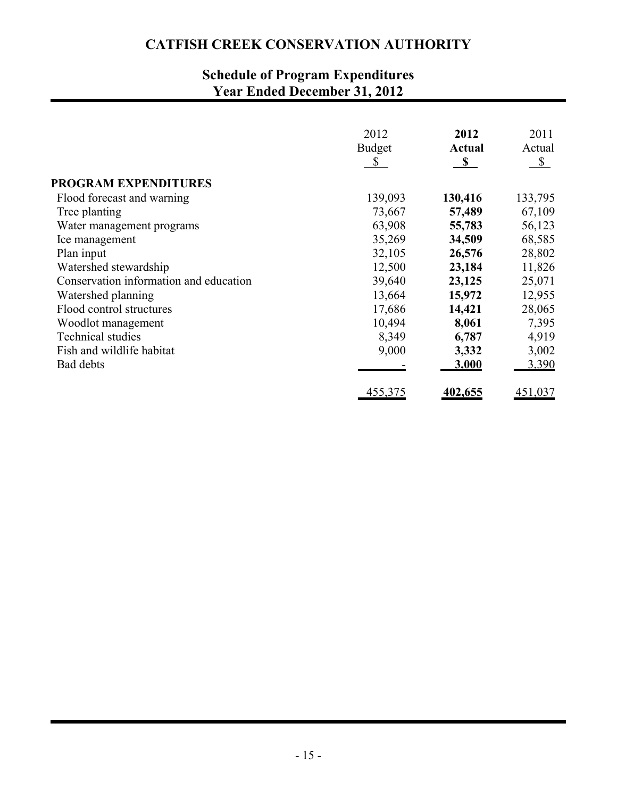# **Schedule of Program Expenditures Year Ended December 31, 2012**

|                                        | 2012<br><b>Budget</b><br>$\mathbb{S}$ | 2012<br><b>Actual</b><br>$\mathbf S$ | 2011<br>Actual<br>$\mathbb{S}$ |
|----------------------------------------|---------------------------------------|--------------------------------------|--------------------------------|
| <b>PROGRAM EXPENDITURES</b>            |                                       |                                      |                                |
| Flood forecast and warning             | 139,093                               | 130,416                              | 133,795                        |
| Tree planting                          | 73,667                                | 57,489                               | 67,109                         |
| Water management programs              | 63,908                                | 55,783                               | 56,123                         |
| Ice management                         | 35,269                                | 34,509                               | 68,585                         |
| Plan input                             | 32,105                                | 26,576                               | 28,802                         |
| Watershed stewardship                  | 12,500                                | 23,184                               | 11,826                         |
| Conservation information and education | 39,640                                | 23,125                               | 25,071                         |
| Watershed planning                     | 13,664                                | 15,972                               | 12,955                         |
| Flood control structures               | 17,686                                | 14,421                               | 28,065                         |
| Woodlot management                     | 10,494                                | 8,061                                | 7,395                          |
| <b>Technical studies</b>               | 8,349                                 | 6,787                                | 4,919                          |
| Fish and wildlife habitat              | 9,000                                 | 3,332                                | 3,002                          |
| Bad debts                              |                                       | 3,000                                | 3,390                          |
|                                        | 455,375                               | <u>402,655</u>                       | 451,037                        |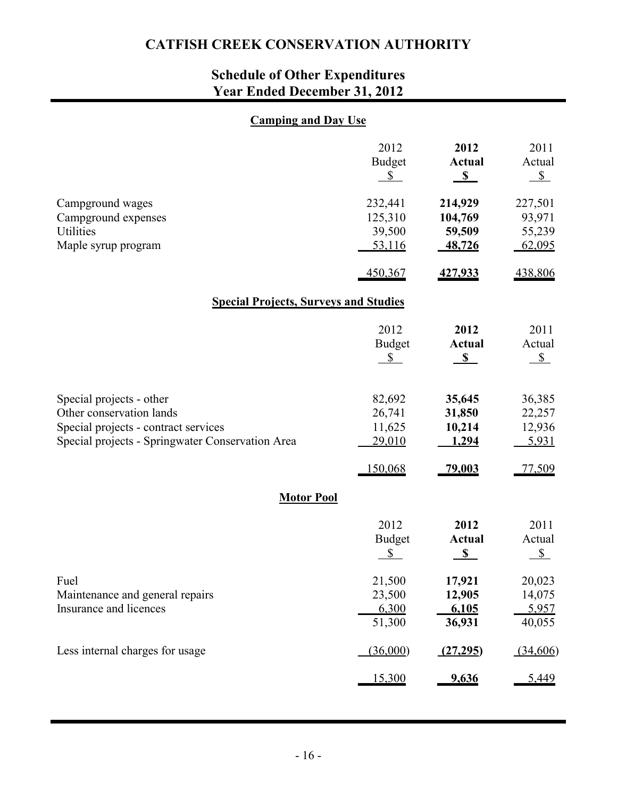# **Schedule of Other Expenditures Year Ended December 31, 2012**

### **Camping and Day Use**

|                                                                                                                                                  | 2012<br><b>Budget</b><br>$\mathbb{S}$  | 2012<br><b>Actual</b><br>$\sqrt{s}$    | 2011<br>Actual<br>$\sqrt{s}$          |  |  |  |  |  |  |
|--------------------------------------------------------------------------------------------------------------------------------------------------|----------------------------------------|----------------------------------------|---------------------------------------|--|--|--|--|--|--|
| Campground wages<br>Campground expenses<br>Utilities<br>Maple syrup program                                                                      | 232,441<br>125,310<br>39,500<br>53,116 | 214,929<br>104,769<br>59,509<br>48,726 | 227,501<br>93,971<br>55,239<br>62,095 |  |  |  |  |  |  |
|                                                                                                                                                  | 450,367                                | 427,933                                | 438,806                               |  |  |  |  |  |  |
| <b>Special Projects, Surveys and Studies</b>                                                                                                     |                                        |                                        |                                       |  |  |  |  |  |  |
|                                                                                                                                                  | 2012<br><b>Budget</b><br>$\mathbb{S}$  | 2012<br><b>Actual</b><br>$\sqrt{s}$    | 2011<br>Actual<br>$S_{-}$             |  |  |  |  |  |  |
| Special projects - other<br>Other conservation lands<br>Special projects - contract services<br>Special projects - Springwater Conservation Area | 82,692<br>26,741<br>11,625<br>29,010   | 35,645<br>31,850<br>10,214<br>1,294    | 36,385<br>22,257<br>12,936<br>5,931   |  |  |  |  |  |  |
|                                                                                                                                                  | 150,068                                | 79,003                                 | 77,509                                |  |  |  |  |  |  |
| <b>Motor Pool</b>                                                                                                                                |                                        |                                        |                                       |  |  |  |  |  |  |
|                                                                                                                                                  | 2012<br><b>Budget</b><br>\$            | 2012<br><b>Actual</b><br>S             | 2011<br>Actual<br>$S_{-}$             |  |  |  |  |  |  |
| Fuel<br>Maintenance and general repairs<br>Insurance and licences                                                                                | 21,500<br>23,500<br>6,300<br>51,300    | 17,921<br>12,905<br>6,105<br>36,931    | 20,023<br>14,075<br>5,957<br>40,055   |  |  |  |  |  |  |
| Less internal charges for usage                                                                                                                  | (36,000)                               | (27,295)                               | (34,606)                              |  |  |  |  |  |  |
|                                                                                                                                                  | <u>15,300</u>                          | 9,636                                  | 5,449                                 |  |  |  |  |  |  |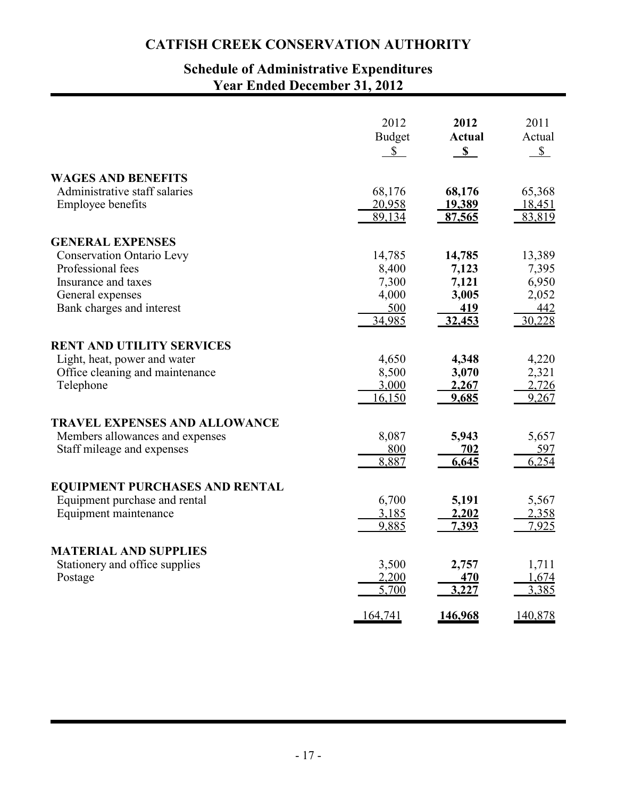## **Schedule of Administrative Expenditures Year Ended December 31, 2012**

|                                       | 2012          | 2012          | 2011         |
|---------------------------------------|---------------|---------------|--------------|
|                                       | <b>Budget</b> | <b>Actual</b> | Actual       |
|                                       | $\mathbb{S}$  | $\mathbf S$   | $\mathbb{S}$ |
| <b>WAGES AND BENEFITS</b>             | 68,176        | 68,176        | 65,368       |
| Administrative staff salaries         | 20,958        | 19,389        | 18,451       |
| <b>Employee benefits</b>              | 89,134        | 87,565        | 83,819       |
| <b>GENERAL EXPENSES</b>               | 14,785        | 14,785        | 13,389       |
| <b>Conservation Ontario Levy</b>      | 8,400         | 7,123         | 7,395        |
| Professional fees                     | 7,300         | 7,121         | 6,950        |
| Insurance and taxes                   | 4,000         | 3,005         | 2,052        |
| General expenses                      | 500           | <u>419</u>    | 442          |
| Bank charges and interest             | 34,985        | 32,453        | 30,228       |
| <b>RENT AND UTILITY SERVICES</b>      | 4,650         | 4,348         | 4,220        |
| Light, heat, power and water          | 8,500         | 3,070         | 2,321        |
| Office cleaning and maintenance       | 3,000         | 2,267         | 2,726        |
| Telephone                             | 16,150        | 9,685         | 9,267        |
| <b>TRAVEL EXPENSES AND ALLOWANCE</b>  | 8,087         | 5,943         | 5,657        |
| Members allowances and expenses       | 800           | 702           | 597          |
| Staff mileage and expenses            | 8,887         | 6,645         | 6,254        |
| <b>EQUIPMENT PURCHASES AND RENTAL</b> | 6,700         | 5,191         | 5,567        |
| Equipment purchase and rental         | 3,185         | 2,202         | 2,358        |
| Equipment maintenance                 | 9,885         | 7,393         | 7,925        |
| <b>MATERIAL AND SUPPLIES</b>          | 3,500         | 2,757         | 1,711        |
| Stationery and office supplies        | 2,200         | <b>470</b>    | 1,674        |
| Postage                               | 5,700         | 3,227         | 3,385        |
|                                       | 164,741       | 146,968       | 140,878      |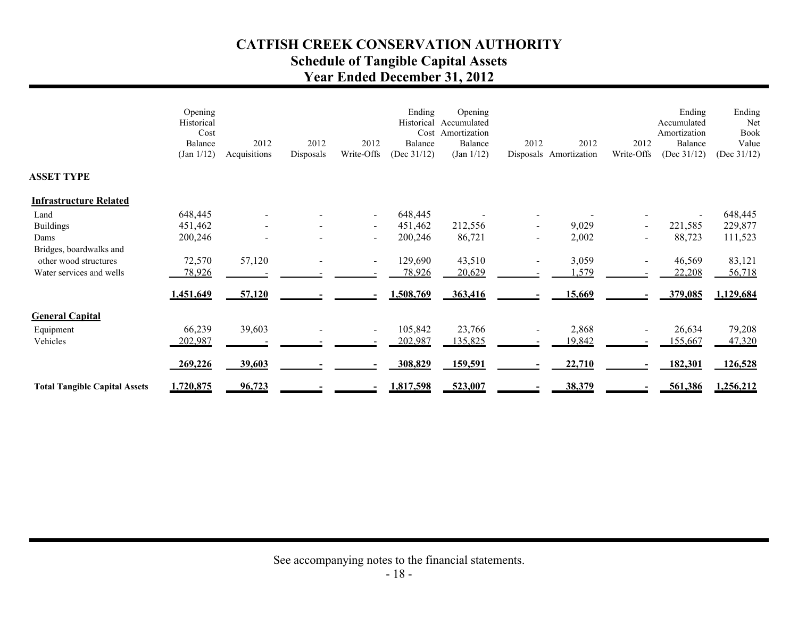## **CATFISH CREEK CONSERVATION AUTHORITY Schedule of Tangible Capital Assets Year Ended December 31, 2012**

|                                      | Opening<br>Historical<br>Cost<br>Balance<br>(Jan 1/12) | 2012<br>Acquisitions | 2012<br>Disposals | 2012<br>Write-Offs | Ending<br>Historical<br>Cost<br>Balance<br>(Dec $31/12$ ) | Opening<br>Accumulated<br>Amortization<br>Balance<br>(Jan 1/12) | 2012 | 2012<br>Disposals Amortization | 2012<br>Write-Offs       | Ending<br>Accumulated<br>Amortization<br>Balance<br>(Dec $31/12$ ) | Ending<br>Net<br>Book<br>Value<br>(Dec $31/12$ ) |
|--------------------------------------|--------------------------------------------------------|----------------------|-------------------|--------------------|-----------------------------------------------------------|-----------------------------------------------------------------|------|--------------------------------|--------------------------|--------------------------------------------------------------------|--------------------------------------------------|
| <b>ASSET TYPE</b>                    |                                                        |                      |                   |                    |                                                           |                                                                 |      |                                |                          |                                                                    |                                                  |
| <b>Infrastructure Related</b>        |                                                        |                      |                   |                    |                                                           |                                                                 |      |                                |                          |                                                                    |                                                  |
| Land                                 | 648,445                                                |                      |                   | $\sim$             | 648,445                                                   |                                                                 |      |                                |                          |                                                                    | 648,445                                          |
| <b>Buildings</b>                     | 451,462                                                |                      |                   | $\sim$             | 451,462                                                   | 212,556                                                         |      | 9,029                          | $\overline{\phantom{a}}$ | 221,585                                                            | 229,877                                          |
| Dams                                 | 200,246                                                |                      |                   | $\sim$             | 200,246                                                   | 86,721                                                          |      | 2,002                          |                          | 88,723                                                             | 111,523                                          |
| Bridges, boardwalks and              |                                                        |                      |                   |                    |                                                           |                                                                 |      |                                |                          |                                                                    |                                                  |
| other wood structures                | 72,570                                                 | 57,120               |                   | $\sim$             | 129,690                                                   | 43,510                                                          |      | 3,059                          | $\blacksquare$           | 46,569                                                             | 83,121                                           |
| Water services and wells             | 78,926                                                 |                      |                   |                    | 78,926                                                    | 20,629                                                          |      | 1,579                          |                          | 22,208                                                             | 56,718                                           |
|                                      | 1,451,649                                              | 57,120               |                   |                    | 1,508,769                                                 | 363,416                                                         |      | 15,669                         |                          | 379,085                                                            | 1,129,684                                        |
| <b>General Capital</b>               |                                                        |                      |                   |                    |                                                           |                                                                 |      |                                |                          |                                                                    |                                                  |
| Equipment                            | 66,239                                                 | 39,603               |                   | $\blacksquare$     | 105,842                                                   | 23,766                                                          |      | 2,868                          |                          | 26,634                                                             | 79,208                                           |
| Vehicles                             | 202,987                                                |                      |                   |                    | 202,987                                                   | 135,825                                                         |      | 19,842                         |                          | 155,667                                                            | 47,320                                           |
|                                      | 269,226                                                | 39,603               |                   |                    | 308,829                                                   | 159,591                                                         |      | 22,710                         |                          | 182,301                                                            | 126,528                                          |
| <b>Total Tangible Capital Assets</b> | 1,720,875                                              | 96,723               |                   |                    | 1,817,598                                                 | 523,007                                                         |      | 38,379                         |                          | 561,386                                                            | 1,256,212                                        |